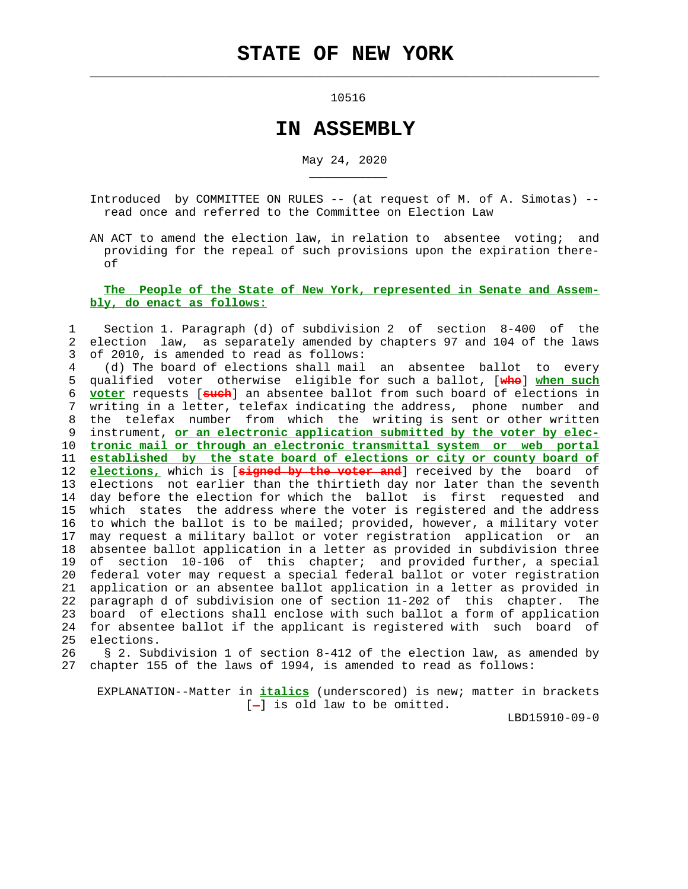$\mathcal{L}_\text{max} = \frac{1}{2} \sum_{i=1}^{n} \frac{1}{2} \sum_{i=1}^{n} \frac{1}{2} \sum_{i=1}^{n} \frac{1}{2} \sum_{i=1}^{n} \frac{1}{2} \sum_{i=1}^{n} \frac{1}{2} \sum_{i=1}^{n} \frac{1}{2} \sum_{i=1}^{n} \frac{1}{2} \sum_{i=1}^{n} \frac{1}{2} \sum_{i=1}^{n} \frac{1}{2} \sum_{i=1}^{n} \frac{1}{2} \sum_{i=1}^{n} \frac{1}{2} \sum_{i=1}^{n} \frac{1$ 

\_\_\_\_\_\_\_\_\_\_\_

10516

## **IN ASSEMBLY**

May 24, 2020

 Introduced by COMMITTEE ON RULES -- (at request of M. of A. Simotas) - read once and referred to the Committee on Election Law

 AN ACT to amend the election law, in relation to absentee voting; and providing for the repeal of such provisions upon the expiration there of

## **The People of the State of New York, represented in Senate and Assem bly, do enact as follows:**

 1 Section 1. Paragraph (d) of subdivision 2 of section 8-400 of the 2 election law, as separately amended by chapters 97 and 104 of the laws 3 of 2010, is amended to read as follows:

 4 (d) The board of elections shall mail an absentee ballot to every 5 qualified voter otherwise eligible for such a ballot, [**who**] **when such** 6 **voter** requests [**such**] an absentee ballot from such board of elections in 7 writing in a letter, telefax indicating the address, phone number and 8 the telefax number from which the writing is sent or other written 9 instrument, **or an electronic application submitted by the voter by elec-** 10 **tronic mail or through an electronic transmittal system or web portal** 11 **established by the state board of elections or city or county board of** 12 **elections,** which is [**signed by the voter and**] received by the board of 13 elections not earlier than the thirtieth day nor later than the seventh 14 day before the election for which the ballot is first requested and 15 which states the address where the voter is registered and the address 16 to which the ballot is to be mailed; provided, however, a military voter 17 may request a military ballot or voter registration application or an 18 absentee ballot application in a letter as provided in subdivision three 19 of section 10-106 of this chapter; and provided further, a special 20 federal voter may request a special federal ballot or voter registration 21 application or an absentee ballot application in a letter as provided in 22 paragraph d of subdivision one of section 11-202 of this chapter. The 23 board of elections shall enclose with such ballot a form of application 24 for absentee ballot if the applicant is registered with such board of 25 elections.

 26 § 2. Subdivision 1 of section 8-412 of the election law, as amended by 27 chapter 155 of the laws of 1994, is amended to read as follows:

 EXPLANATION--Matter in **italics** (underscored) is new; matter in brackets  $[-]$  is old law to be omitted.

LBD15910-09-0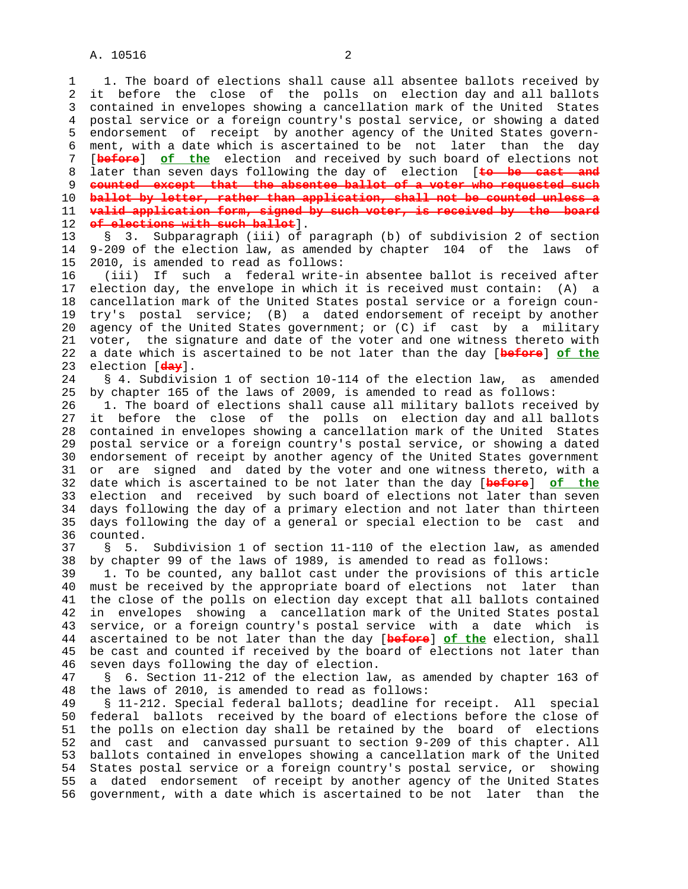1 1. The board of elections shall cause all absentee ballots received by 2 it before the close of the polls on election day and all ballots 3 contained in envelopes showing a cancellation mark of the United States 4 postal service or a foreign country's postal service, or showing a dated 5 endorsement of receipt by another agency of the United States govern- 6 ment, with a date which is ascertained to be not later than the day 7 [**before**] **of the** election and received by such board of elections not 8 later than seven days following the day of election [to be cast and<br>9 counted except that the absentee ballot of a voter who requested such 9 **counted except that the absentee ballot of a voter who requested such** 10 **ballot by letter, rather than application, shall not be counted unless a** 11 **valid application form, signed by such voter, is received by the board** 12 **of elections with such ballot**].

 13 § 3. Subparagraph (iii) of paragraph (b) of subdivision 2 of section 14 9-209 of the election law, as amended by chapter 104 of the laws of 15 2010, is amended to read as follows:

 16 (iii) If such a federal write-in absentee ballot is received after 17 election day, the envelope in which it is received must contain: (A) a 18 cancellation mark of the United States postal service or a foreign coun- 19 try's postal service; (B) a dated endorsement of receipt by another 20 agency of the United States government; or (C) if cast by a military 21 voter, the signature and date of the voter and one witness thereto with 22 a date which is ascertained to be not later than the day [**before**] **of the** 23 election [**day**].

 24 § 4. Subdivision 1 of section 10-114 of the election law, as amended 25 by chapter 165 of the laws of 2009, is amended to read as follows:

 26 1. The board of elections shall cause all military ballots received by 27 it before the close of the polls on election day and all ballots 28 contained in envelopes showing a cancellation mark of the United States 29 postal service or a foreign country's postal service, or showing a dated 30 endorsement of receipt by another agency of the United States government 31 or are signed and dated by the voter and one witness thereto, with a 32 date which is ascertained to be not later than the day [**before**] **of the** 33 election and received by such board of elections not later than seven 34 days following the day of a primary election and not later than thirteen 35 days following the day of a general or special election to be cast and 36 counted.

 37 § 5. Subdivision 1 of section 11-110 of the election law, as amended 38 by chapter 99 of the laws of 1989, is amended to read as follows:

 39 1. To be counted, any ballot cast under the provisions of this article 40 must be received by the appropriate board of elections not later than 41 the close of the polls on election day except that all ballots contained 42 in envelopes showing a cancellation mark of the United States postal 43 service, or a foreign country's postal service with a date which is 44 ascertained to be not later than the day [**before**] **of the** election, shall 45 be cast and counted if received by the board of elections not later than 46 seven days following the day of election.

 47 § 6. Section 11-212 of the election law, as amended by chapter 163 of 48 the laws of 2010, is amended to read as follows:

 49 § 11-212. Special federal ballots; deadline for receipt. All special 50 federal ballots received by the board of elections before the close of 51 the polls on election day shall be retained by the board of elections 52 and cast and canvassed pursuant to section 9-209 of this chapter. All 53 ballots contained in envelopes showing a cancellation mark of the United 54 States postal service or a foreign country's postal service, or showing 55 a dated endorsement of receipt by another agency of the United States 56 government, with a date which is ascertained to be not later than the